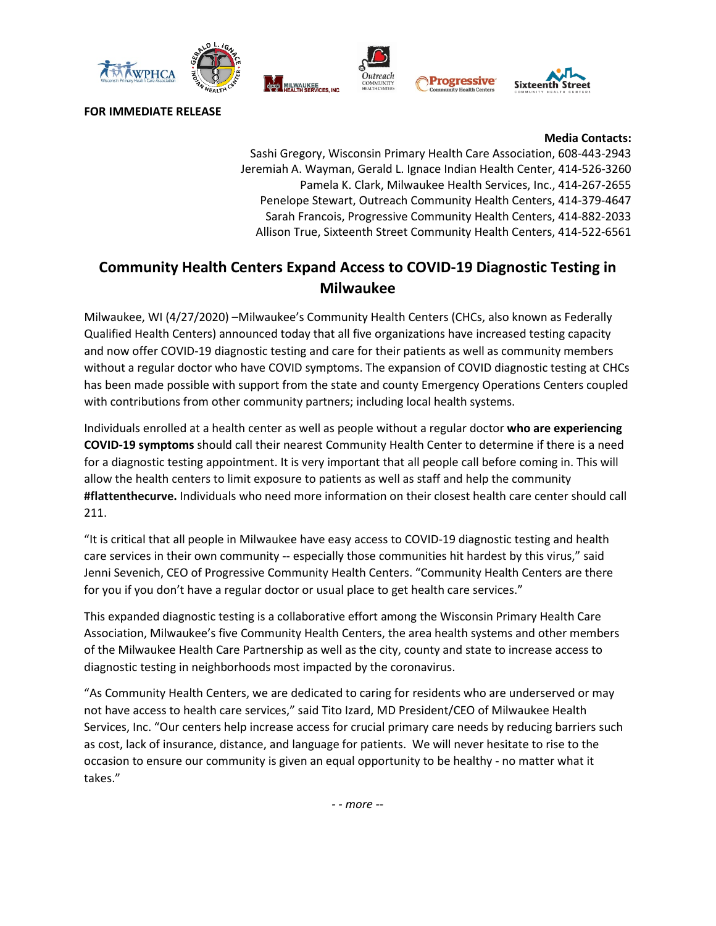

**FOR IMMEDIATE RELEASE**

**Media Contacts:**

Sashi Gregory, Wisconsin Primary Health Care Association, 608-443-2943 Jeremiah A. Wayman, Gerald L. Ignace Indian Health Center, 414-526-3260 Pamela K. Clark, Milwaukee Health Services, Inc., 414-267-2655 Penelope Stewart, Outreach Community Health Centers, 414-379-4647 Sarah Francois, Progressive Community Health Centers, 414-882-2033 Allison True, Sixteenth Street Community Health Centers, 414-522-6561

## **Community Health Centers Expand Access to COVID-19 Diagnostic Testing in Milwaukee**

Milwaukee, WI (4/27/2020) –Milwaukee's Community Health Centers (CHCs, also known as Federally Qualified Health Centers) announced today that all five organizations have increased testing capacity and now offer COVID-19 diagnostic testing and care for their patients as well as community members without a regular doctor who have COVID symptoms. The expansion of COVID diagnostic testing at CHCs has been made possible with support from the state and county Emergency Operations Centers coupled with contributions from other community partners; including local health systems.

Individuals enrolled at a health center as well as people without a regular doctor **who are experiencing COVID-19 symptoms** should call their nearest Community Health Center to determine if there is a need for a diagnostic testing appointment. It is very important that all people call before coming in. This will allow the health centers to limit exposure to patients as well as staff and help the community **#flattenthecurve.** Individuals who need more information on their closest health care center should call 211.

"It is critical that all people in Milwaukee have easy access to COVID-19 diagnostic testing and health care services in their own community -- especially those communities hit hardest by this virus," said Jenni Sevenich, CEO of Progressive Community Health Centers. "Community Health Centers are there for you if you don't have a regular doctor or usual place to get health care services."

This expanded diagnostic testing is a collaborative effort among the Wisconsin Primary Health Care Association, Milwaukee's five Community Health Centers, the area health systems and other members of the Milwaukee Health Care Partnership as well as the city, county and state to increase access to diagnostic testing in neighborhoods most impacted by the coronavirus.

"As Community Health Centers, we are dedicated to caring for residents who are underserved or may not have access to health care services," said Tito Izard, MD President/CEO of Milwaukee Health Services, Inc. "Our centers help increase access for crucial primary care needs by reducing barriers such as cost, lack of insurance, distance, and language for patients. We will never hesitate to rise to the occasion to ensure our community is given an equal opportunity to be healthy - no matter what it takes."

*- - more --*